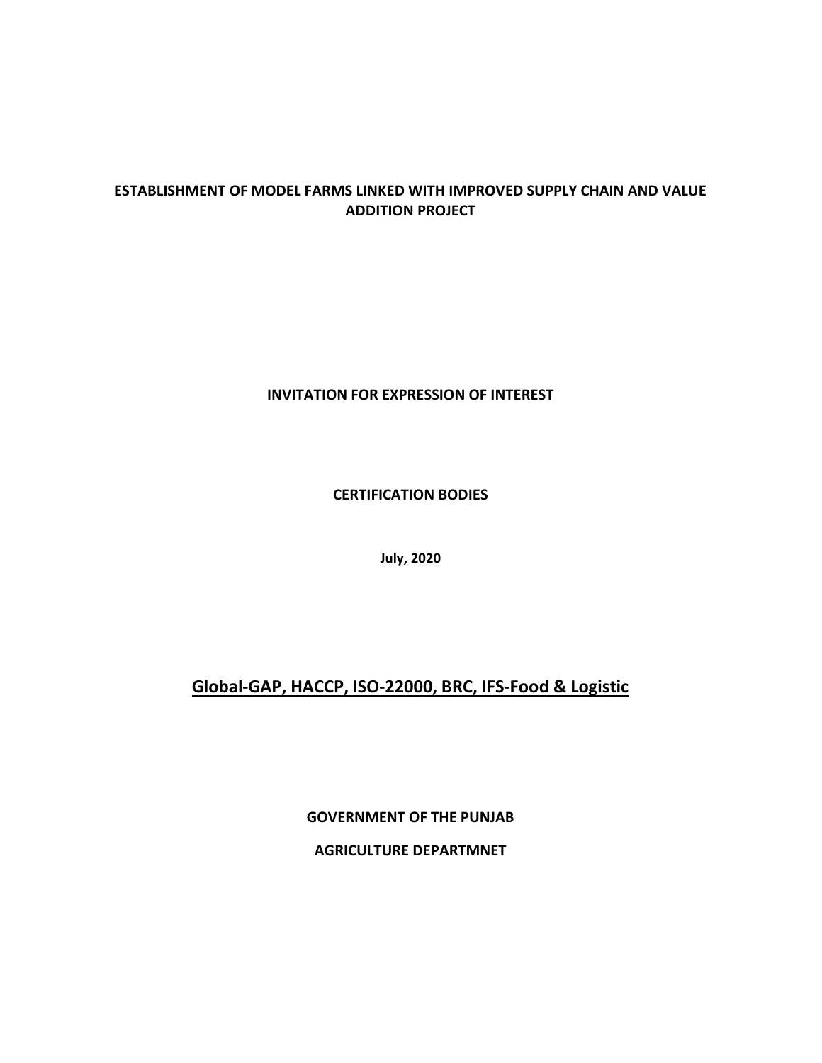# ESTABLISHMENT OF MODEL FARMS LINKED WITH IMPROVED SUPPLY CHAIN AND VALUE ADDITION PROJECT

## INVITATION FOR EXPRESSION OF INTEREST

CERTIFICATION BODIES

July, 2020

# Global-GAP, HACCP, ISO-22000, BRC, IFS-Food & Logistic

GOVERNMENT OF THE PUNJAB

AGRICULTURE DEPARTMNET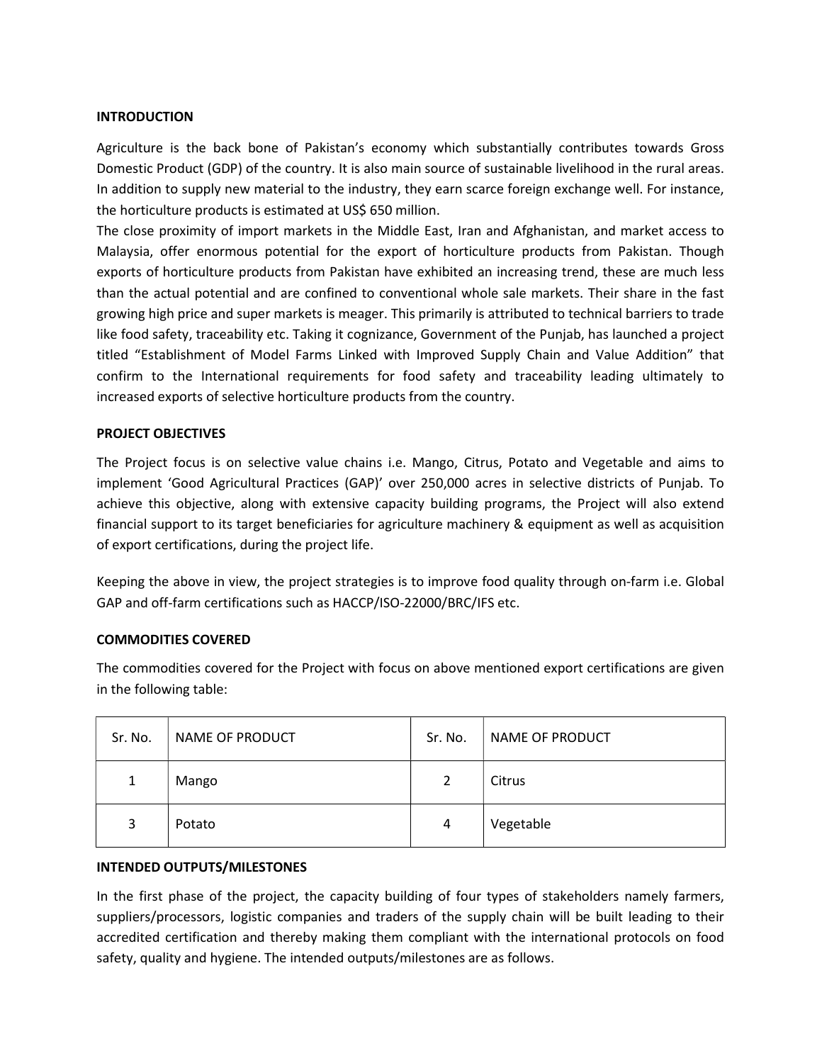#### **INTRODUCTION**

Agriculture is the back bone of Pakistan's economy which substantially contributes towards Gross Domestic Product (GDP) of the country. It is also main source of sustainable livelihood in the rural areas. In addition to supply new material to the industry, they earn scarce foreign exchange well. For instance, the horticulture products is estimated at US\$ 650 million.

The close proximity of import markets in the Middle East, Iran and Afghanistan, and market access to Malaysia, offer enormous potential for the export of horticulture products from Pakistan. Though exports of horticulture products from Pakistan have exhibited an increasing trend, these are much less than the actual potential and are confined to conventional whole sale markets. Their share in the fast growing high price and super markets is meager. This primarily is attributed to technical barriers to trade like food safety, traceability etc. Taking it cognizance, Government of the Punjab, has launched a project titled "Establishment of Model Farms Linked with Improved Supply Chain and Value Addition" that confirm to the International requirements for food safety and traceability leading ultimately to increased exports of selective horticulture products from the country.

#### PROJECT OBJECTIVES

The Project focus is on selective value chains i.e. Mango, Citrus, Potato and Vegetable and aims to implement 'Good Agricultural Practices (GAP)' over 250,000 acres in selective districts of Punjab. To achieve this objective, along with extensive capacity building programs, the Project will also extend financial support to its target beneficiaries for agriculture machinery & equipment as well as acquisition of export certifications, during the project life.

Keeping the above in view, the project strategies is to improve food quality through on-farm i.e. Global GAP and off-farm certifications such as HACCP/ISO-22000/BRC/IFS etc.

#### COMMODITIES COVERED

The commodities covered for the Project with focus on above mentioned export certifications are given in the following table:

| Sr. No. | NAME OF PRODUCT | Sr. No. | NAME OF PRODUCT |
|---------|-----------------|---------|-----------------|
| 1       | Mango           | 2       | Citrus          |
| 3       | Potato          | 4       | Vegetable       |

#### INTENDED OUTPUTS/MILESTONES

In the first phase of the project, the capacity building of four types of stakeholders namely farmers, suppliers/processors, logistic companies and traders of the supply chain will be built leading to their accredited certification and thereby making them compliant with the international protocols on food safety, quality and hygiene. The intended outputs/milestones are as follows.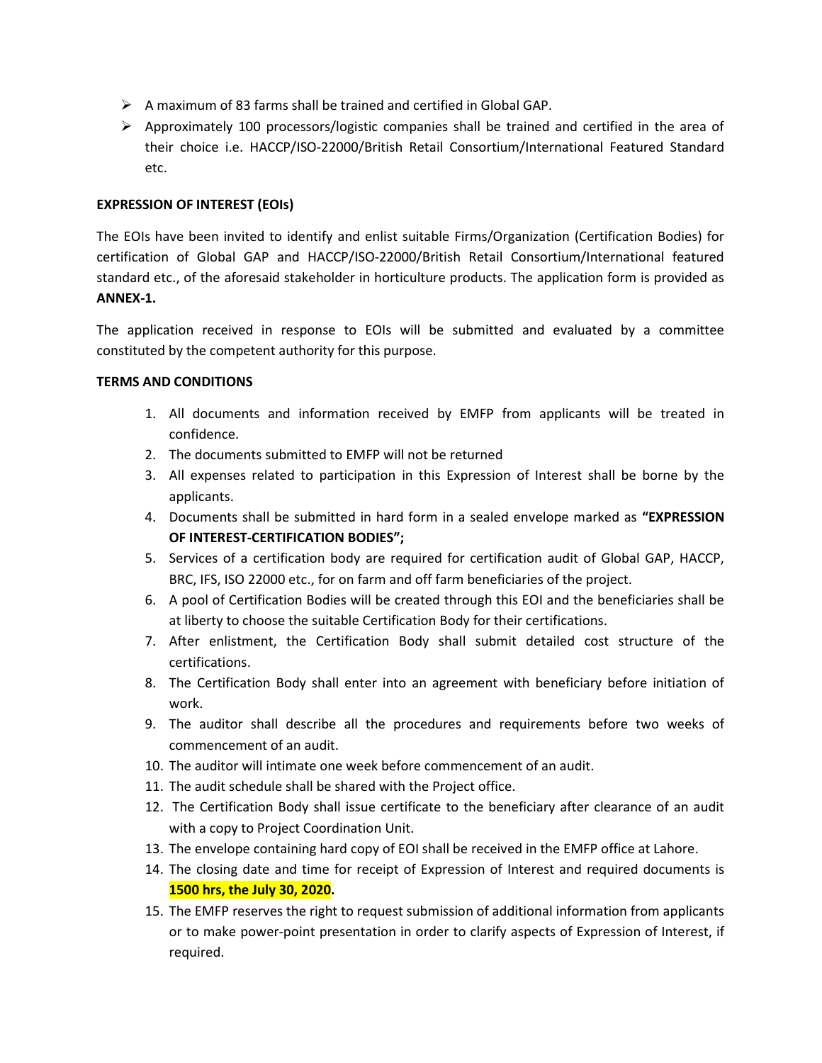- $\triangleright$  A maximum of 83 farms shall be trained and certified in Global GAP.
- $\triangleright$  Approximately 100 processors/logistic companies shall be trained and certified in the area of their choice i.e. HACCP/ISO-22000/British Retail Consortium/International Featured Standard etc.

## EXPRESSION OF INTEREST (EOIs)

The EOIs have been invited to identify and enlist suitable Firms/Organization (Certification Bodies) for certification of Global GAP and HACCP/ISO-22000/British Retail Consortium/International featured standard etc., of the aforesaid stakeholder in horticulture products. The application form is provided as ANNEX-1.

The application received in response to EOIs will be submitted and evaluated by a committee constituted by the competent authority for this purpose.

## TERMS AND CONDITIONS

- 1. All documents and information received by EMFP from applicants will be treated in confidence.
- 2. The documents submitted to EMFP will not be returned
- 3. All expenses related to participation in this Expression of Interest shall be borne by the applicants.
- 4. Documents shall be submitted in hard form in a sealed envelope marked as "EXPRESSION OF INTEREST-CERTIFICATION BODIES";
- 5. Services of a certification body are required for certification audit of Global GAP, HACCP, BRC, IFS, ISO 22000 etc., for on farm and off farm beneficiaries of the project.
- 6. A pool of Certification Bodies will be created through this EOI and the beneficiaries shall be at liberty to choose the suitable Certification Body for their certifications.
- 7. After enlistment, the Certification Body shall submit detailed cost structure of the certifications.
- 8. The Certification Body shall enter into an agreement with beneficiary before initiation of work.
- 9. The auditor shall describe all the procedures and requirements before two weeks of commencement of an audit.
- 10. The auditor will intimate one week before commencement of an audit.
- 11. The audit schedule shall be shared with the Project office.
- 12. The Certification Body shall issue certificate to the beneficiary after clearance of an audit with a copy to Project Coordination Unit.
- 13. The envelope containing hard copy of EOI shall be received in the EMFP office at Lahore.
- 14. The closing date and time for receipt of Expression of Interest and required documents is 1500 hrs, the July 30, 2020.
- 15. The EMFP reserves the right to request submission of additional information from applicants or to make power-point presentation in order to clarify aspects of Expression of Interest, if required.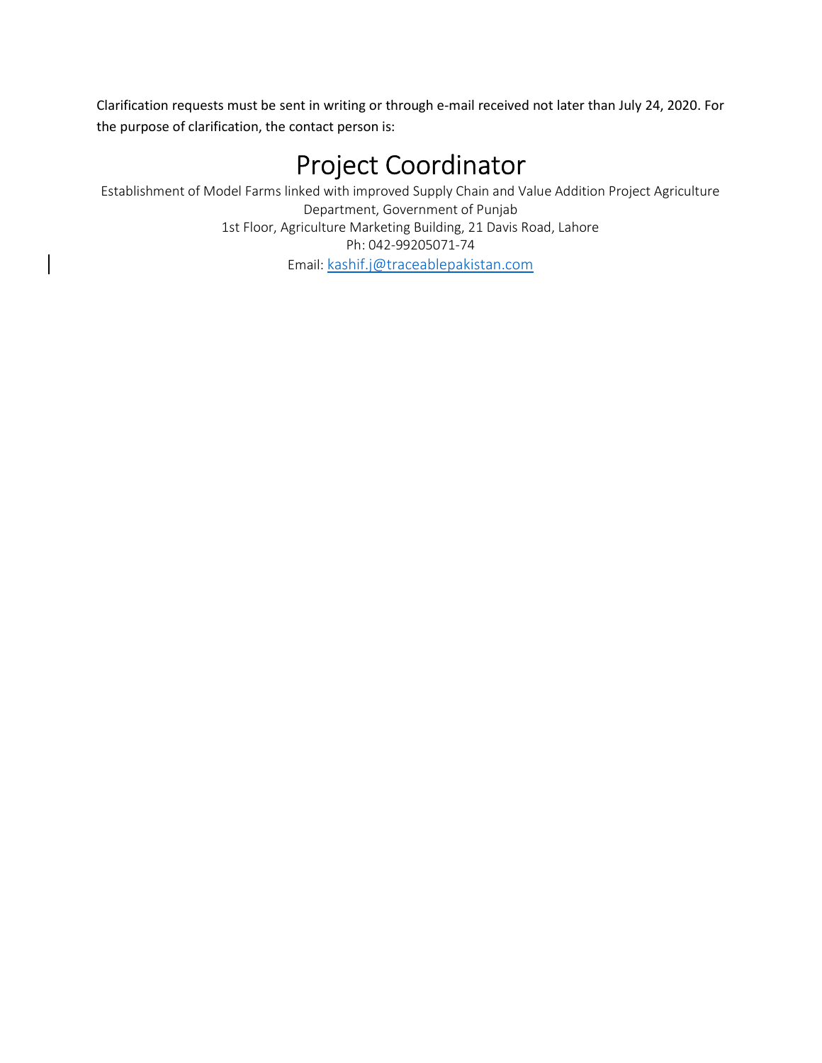Clarification requests must be sent in writing or through e-mail received not later than July 24, 2020. For the purpose of clarification, the contact person is:

# Project Coordinator

Establishment of Model Farms linked with improved Supply Chain and Value Addition Project Agriculture Department, Government of Punjab 1st Floor, Agriculture Marketing Building, 21 Davis Road, Lahore Ph: 042-99205071-74 Email: kashif.j@traceablepakistan.com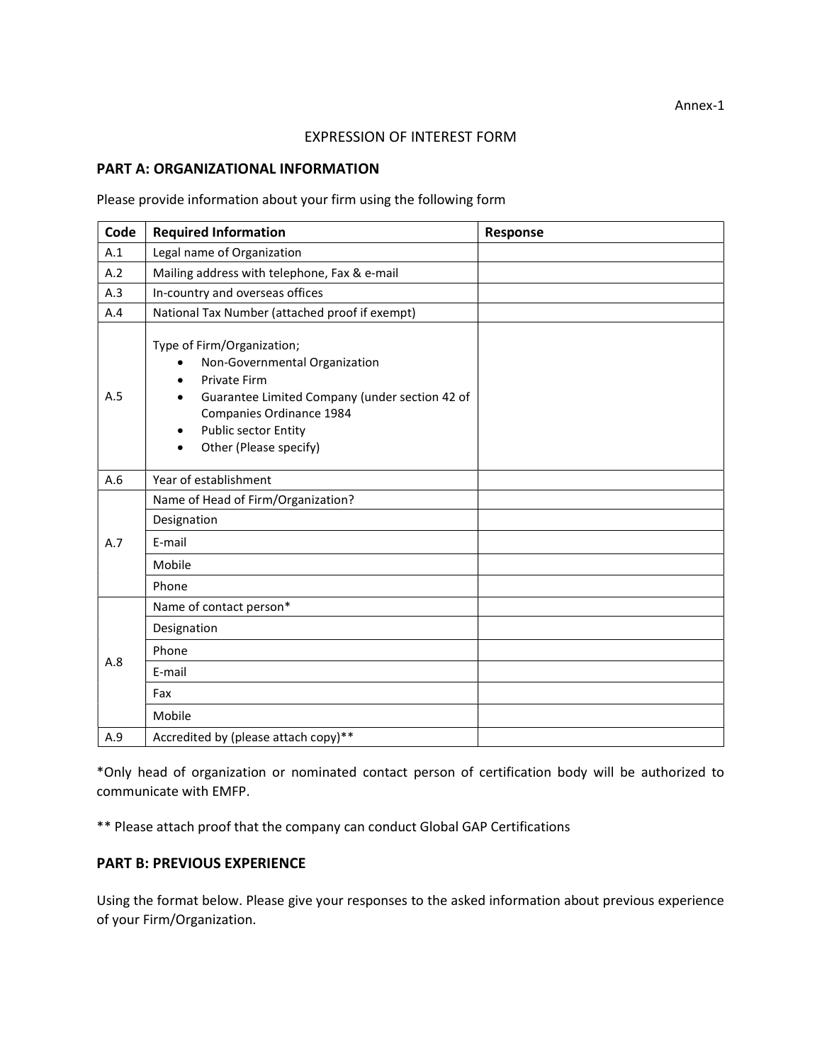#### EXPRESSION OF INTEREST FORM

#### PART A: ORGANIZATIONAL INFORMATION

#### Please provide information about your firm using the following form

| Code | <b>Required Information</b>                                                                                                                                                                                        | Response |
|------|--------------------------------------------------------------------------------------------------------------------------------------------------------------------------------------------------------------------|----------|
| A.1  | Legal name of Organization                                                                                                                                                                                         |          |
| A.2  | Mailing address with telephone, Fax & e-mail                                                                                                                                                                       |          |
| A.3  | In-country and overseas offices                                                                                                                                                                                    |          |
| A.4  | National Tax Number (attached proof if exempt)                                                                                                                                                                     |          |
| A.5  | Type of Firm/Organization;<br>Non-Governmental Organization<br><b>Private Firm</b><br>Guarantee Limited Company (under section 42 of<br>Companies Ordinance 1984<br>Public sector Entity<br>Other (Please specify) |          |
| A.6  | Year of establishment                                                                                                                                                                                              |          |
|      | Name of Head of Firm/Organization?                                                                                                                                                                                 |          |
|      | Designation                                                                                                                                                                                                        |          |
| A.7  | E-mail                                                                                                                                                                                                             |          |
|      | Mobile                                                                                                                                                                                                             |          |
|      | Phone                                                                                                                                                                                                              |          |
| A.8  | Name of contact person*                                                                                                                                                                                            |          |
|      | Designation                                                                                                                                                                                                        |          |
|      | Phone                                                                                                                                                                                                              |          |
|      | E-mail                                                                                                                                                                                                             |          |
|      | Fax                                                                                                                                                                                                                |          |
|      | Mobile                                                                                                                                                                                                             |          |
| A.9  | Accredited by (please attach copy)**                                                                                                                                                                               |          |

\*Only head of organization or nominated contact person of certification body will be authorized to communicate with EMFP.

\*\* Please attach proof that the company can conduct Global GAP Certifications

### PART B: PREVIOUS EXPERIENCE

Using the format below. Please give your responses to the asked information about previous experience of your Firm/Organization.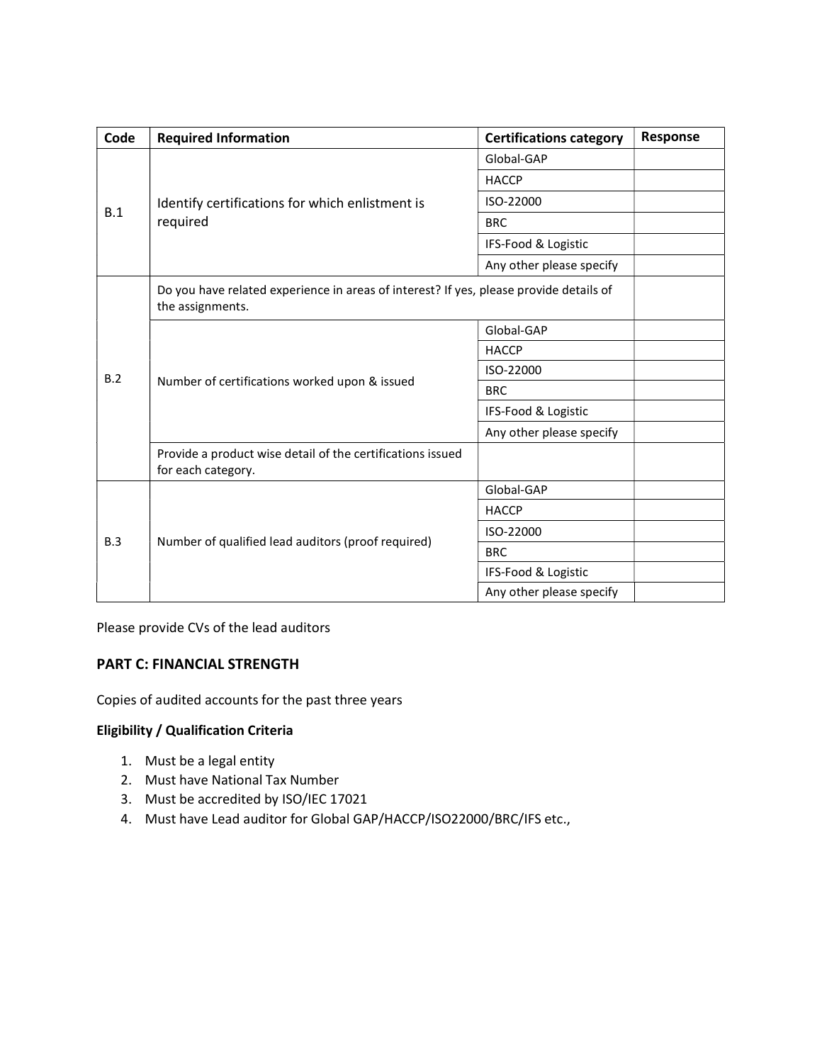| Code | <b>Required Information</b>                                                                                | <b>Certifications category</b> | Response |
|------|------------------------------------------------------------------------------------------------------------|--------------------------------|----------|
| B.1  | Identify certifications for which enlistment is<br>required                                                | Global-GAP                     |          |
|      |                                                                                                            | <b>HACCP</b>                   |          |
|      |                                                                                                            | ISO-22000                      |          |
|      |                                                                                                            | <b>BRC</b>                     |          |
|      |                                                                                                            | IFS-Food & Logistic            |          |
|      |                                                                                                            | Any other please specify       |          |
|      | Do you have related experience in areas of interest? If yes, please provide details of<br>the assignments. |                                |          |
|      | Number of certifications worked upon & issued                                                              | Global-GAP                     |          |
| B.2  |                                                                                                            | <b>HACCP</b>                   |          |
|      |                                                                                                            | ISO-22000                      |          |
|      |                                                                                                            | <b>BRC</b>                     |          |
|      |                                                                                                            | IFS-Food & Logistic            |          |
|      |                                                                                                            | Any other please specify       |          |
|      | Provide a product wise detail of the certifications issued<br>for each category.                           |                                |          |
|      | Number of qualified lead auditors (proof required)                                                         | Global-GAP                     |          |
| B.3  |                                                                                                            | <b>HACCP</b>                   |          |
|      |                                                                                                            | ISO-22000                      |          |
|      |                                                                                                            | <b>BRC</b>                     |          |
|      |                                                                                                            | IFS-Food & Logistic            |          |
|      |                                                                                                            | Any other please specify       |          |

Please provide CVs of the lead auditors

## PART C: FINANCIAL STRENGTH

Copies of audited accounts for the past three years

## Eligibility / Qualification Criteria

- 1. Must be a legal entity
- 2. Must have National Tax Number
- 3. Must be accredited by ISO/IEC 17021
- 4. Must have Lead auditor for Global GAP/HACCP/ISO22000/BRC/IFS etc.,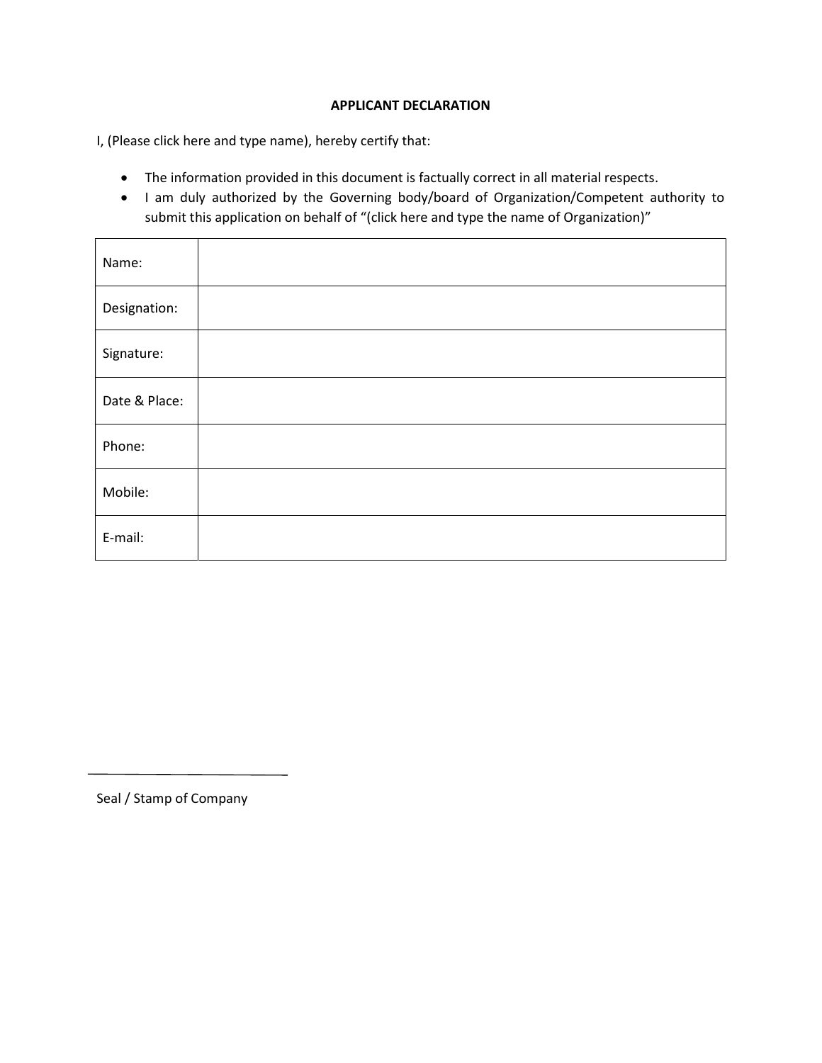### APPLICANT DECLARATION

I, (Please click here and type name), hereby certify that:

- The information provided in this document is factually correct in all material respects.
- I am duly authorized by the Governing body/board of Organization/Competent authority to submit this application on behalf of "(click here and type the name of Organization)"

| Name:         |  |
|---------------|--|
| Designation:  |  |
| Signature:    |  |
| Date & Place: |  |
| Phone:        |  |
| Mobile:       |  |
| E-mail:       |  |

Seal / Stamp of Company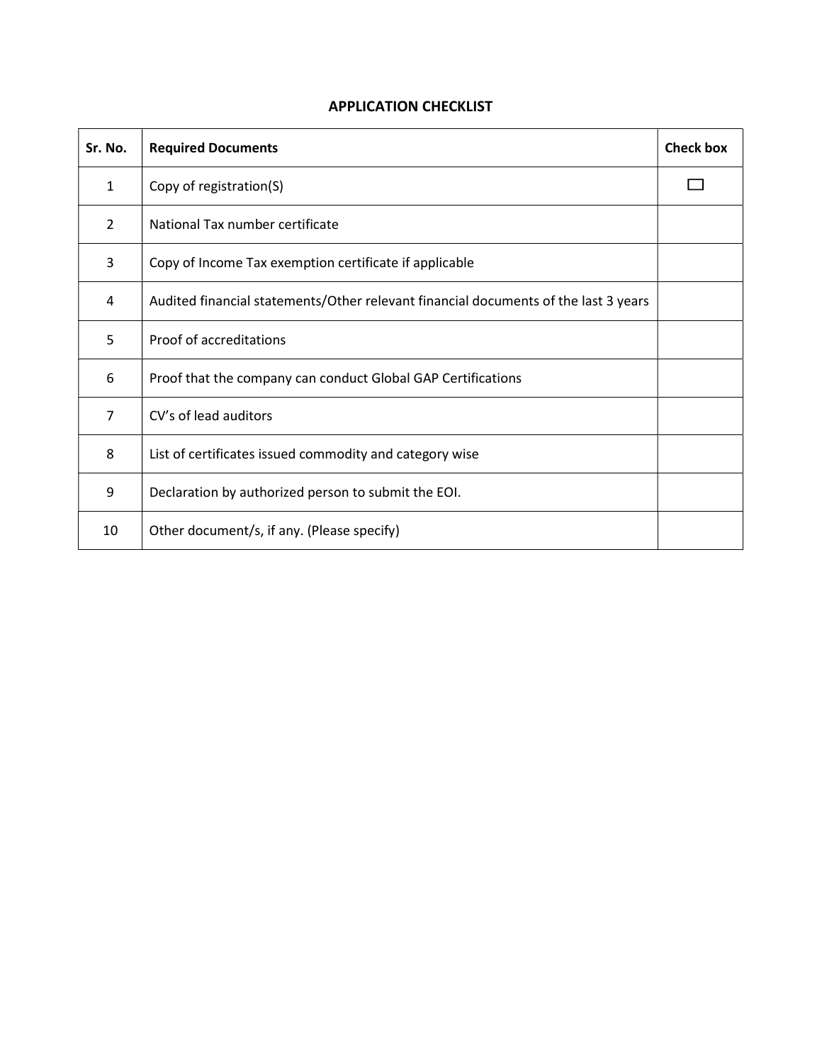# APPLICATION CHECKLIST

| Sr. No.        | <b>Required Documents</b>                                                           | <b>Check box</b> |
|----------------|-------------------------------------------------------------------------------------|------------------|
| 1              | Copy of registration(S)                                                             |                  |
| $\overline{2}$ | National Tax number certificate                                                     |                  |
| 3              | Copy of Income Tax exemption certificate if applicable                              |                  |
| 4              | Audited financial statements/Other relevant financial documents of the last 3 years |                  |
| 5              | Proof of accreditations                                                             |                  |
| 6              | Proof that the company can conduct Global GAP Certifications                        |                  |
| $\overline{7}$ | CV's of lead auditors                                                               |                  |
| 8              | List of certificates issued commodity and category wise                             |                  |
| 9              | Declaration by authorized person to submit the EOI.                                 |                  |
| 10             | Other document/s, if any. (Please specify)                                          |                  |